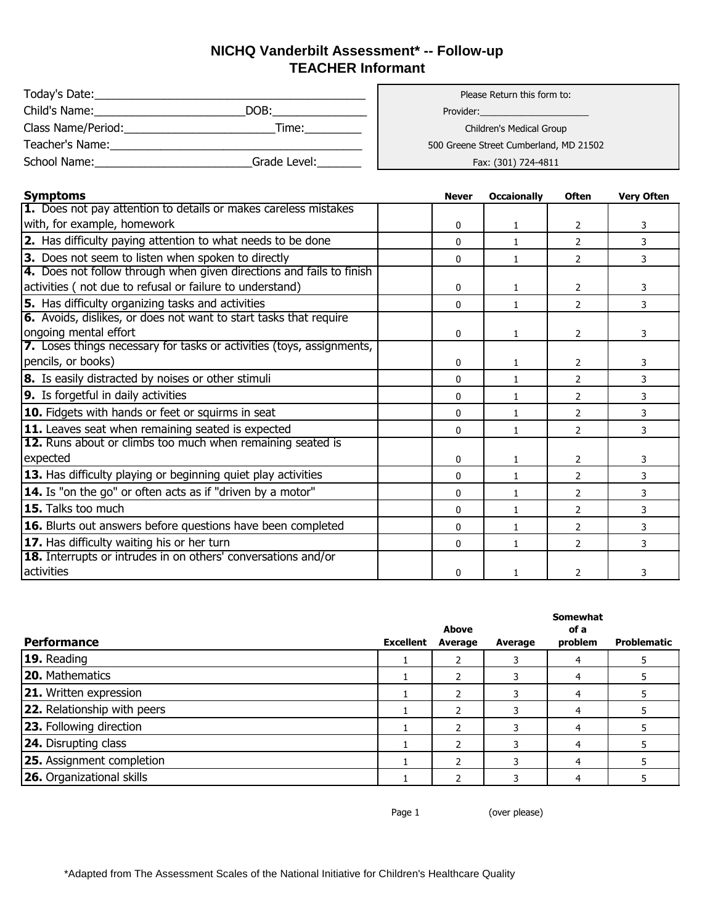## **NICHQ Vanderbilt Assessment\* -- Follow-up TEACHER Informant**

| Today's Date:      |              | Please Return this form to:         |
|--------------------|--------------|-------------------------------------|
| Child's Name:      | DOB:         | Provider:                           |
| Class Name/Period: | Time:        | Children's Medical Group            |
| Teacher's Name:    |              | 500 Greene Street Cumberland, MD 21 |
| School Name:       | Grade Level: | Fax: (301) 724-4811                 |

Children's Medical Group 500 Greene Street Cumberland, MD 21502

Fax: (301) 724-4811

| <b>Symptoms</b>                                                       | <b>Never</b> | <b>Occaionally</b> | <b>Often</b>   | <b>Very Often</b> |
|-----------------------------------------------------------------------|--------------|--------------------|----------------|-------------------|
| 1. Does not pay attention to details or makes careless mistakes       |              |                    |                |                   |
| with, for example, homework                                           | 0            | 1                  | 2              | 3                 |
| <b>2.</b> Has difficulty paying attention to what needs to be done    | $\Omega$     | $\mathbf{1}$       | $\mathcal{P}$  | 3                 |
| 3. Does not seem to listen when spoken to directly                    | 0            | 1                  | $\mathcal{P}$  | 3                 |
| 4. Does not follow through when given directions and fails to finish  |              |                    |                |                   |
| activities (not due to refusal or failure to understand)              | 0            | $\mathbf{1}$       | $\overline{2}$ | 3                 |
| 5. Has difficulty organizing tasks and activities                     | 0            | 1                  | 2              | 3                 |
| 6. Avoids, dislikes, or does not want to start tasks that require     |              |                    |                |                   |
| ongoing mental effort                                                 | 0            | $\mathbf{1}$       | 2              | 3                 |
| 7. Loses things necessary for tasks or activities (toys, assignments, |              |                    |                |                   |
| pencils, or books)                                                    | 0            | 1                  | 2              | 3                 |
| 8. Is easily distracted by noises or other stimuli                    | 0            | $\mathbf{1}$       | 2              | 3                 |
| 9. Is forgetful in daily activities                                   | 0            | 1                  | $\mathcal{P}$  | 3                 |
| 10. Fidgets with hands or feet or squirms in seat                     | 0            | 1                  | 2              | 3                 |
| <b>11.</b> Leaves seat when remaining seated is expected              | $\mathbf{0}$ | $\mathbf{1}$       | $\overline{2}$ | 3                 |
| 12. Runs about or climbs too much when remaining seated is            |              |                    |                |                   |
| expected                                                              | $\mathbf{0}$ | $\mathbf{1}$       | $\overline{2}$ | 3                 |
| 13. Has difficulty playing or beginning quiet play activities         | 0            | 1                  | 2              | 3                 |
| <b>14.</b> Is "on the go" or often acts as if "driven by a motor"     | $\mathbf{0}$ | $\mathbf{1}$       | $\overline{2}$ | 3                 |
| 15. Talks too much                                                    | 0            | 1                  | $\mathcal{P}$  | 3                 |
| 16. Blurts out answers before questions have been completed           | 0            | 1                  | 2              | 3                 |
| <b>17.</b> Has difficulty waiting his or her turn                     | 0            | 1                  | 2              | 3                 |
| <b>18.</b> Interrupts or intrudes in on others' conversations and/or  |              |                    |                |                   |
| activities                                                            | $\mathbf{0}$ | 1                  | $\overline{2}$ | 3                 |

|                                    |                  | <b>Above</b> |         | <b>Somewhat</b><br>of a |             |
|------------------------------------|------------------|--------------|---------|-------------------------|-------------|
| <b>Performance</b>                 | <b>Excellent</b> | Average      | Average | problem                 | Problematic |
| 19. Reading                        |                  |              |         |                         |             |
| 20. Mathematics                    |                  |              |         | 4                       |             |
| <b>21.</b> Written expression      |                  |              |         |                         |             |
| <b>22.</b> Relationship with peers |                  | ר            |         |                         |             |
| <b>23.</b> Following direction     |                  |              |         | 4                       |             |
| <b>24.</b> Disrupting class        |                  |              |         |                         |             |
| <b>25.</b> Assignment completion   |                  | ר            |         |                         |             |
| <b>26.</b> Organizational skills   |                  |              |         |                         |             |

Page 1 (over please)